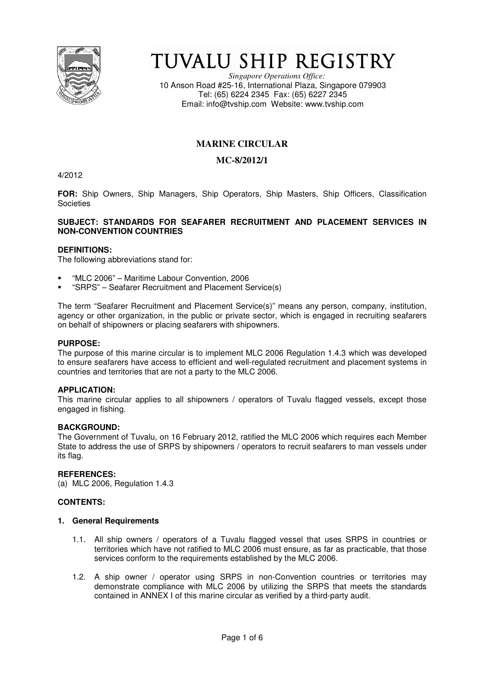

# TUVALU SHIP REGISTRY

*Singapore Operations Office:* 10 Anson Road #25-16, International Plaza, Singapore 079903 Tel: (65) 6224 2345 Fax: (65) 6227 2345 Email: info@tvship.com Website: www.tvship.com

## **MARINE CIRCULAR**

## **MC-8/2012/1**

4/2012

**FOR:** Ship Owners, Ship Managers, Ship Operators, Ship Masters, Ship Officers, Classification **Societies** 

## **SUBJECT: STANDARDS FOR SEAFARER RECRUITMENT AND PLACEMENT SERVICES IN NON-CONVENTION COUNTRIES**

## **DEFINITIONS:**

The following abbreviations stand for:

- "MLC 2006" Maritime Labour Convention, 2006
- "SRPS" Seafarer Recruitment and Placement Service(s)

The term "Seafarer Recruitment and Placement Service(s)" means any person, company, institution, agency or other organization, in the public or private sector, which is engaged in recruiting seafarers on behalf of shipowners or placing seafarers with shipowners.

#### **PURPOSE:**

The purpose of this marine circular is to implement MLC 2006 Regulation 1.4.3 which was developed to ensure seafarers have access to efficient and well-regulated recruitment and placement systems in countries and territories that are not a party to the MLC 2006.

## **APPLICATION:**

This marine circular applies to all shipowners / operators of Tuvalu flagged vessels, except those engaged in fishing.

#### **BACKGROUND:**

The Government of Tuvalu, on 16 February 2012, ratified the MLC 2006 which requires each Member State to address the use of SRPS by shipowners / operators to recruit seafarers to man vessels under its flag.

#### **REFERENCES:**

(a) MLC 2006, Regulation 1.4.3

## **CONTENTS:**

## **1. General Requirements**

- 1.1. All ship owners / operators of a Tuvalu flagged vessel that uses SRPS in countries or territories which have not ratified to MLC 2006 must ensure, as far as practicable, that those services conform to the requirements established by the MLC 2006.
- 1.2. A ship owner / operator using SRPS in non-Convention countries or territories may demonstrate compliance with MLC 2006 by utilizing the SRPS that meets the standards contained in ANNEX I of this marine circular as verified by a third-party audit.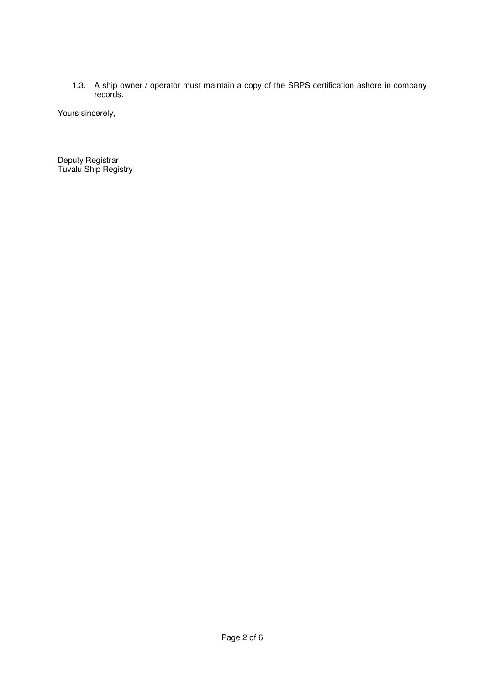1.3. A ship owner / operator must maintain a copy of the SRPS certification ashore in company records.

Yours sincerely,

Deputy Registrar Tuvalu Ship Registry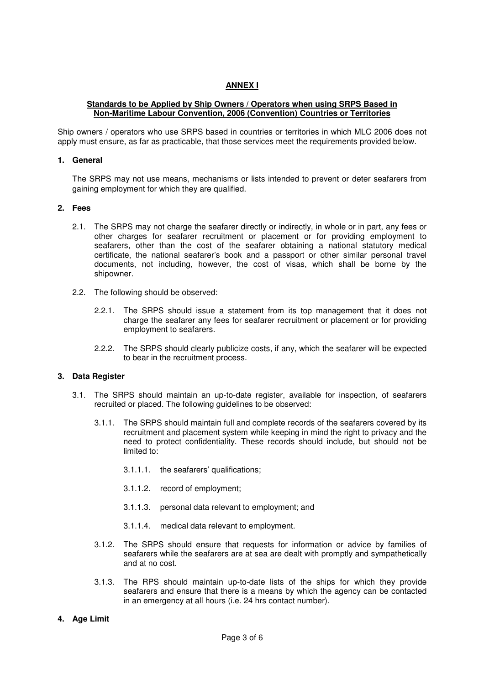## **ANNEX I**

## **Standards to be Applied by Ship Owners / Operators when using SRPS Based in Non-Maritime Labour Convention, 2006 (Convention) Countries or Territories**

Ship owners / operators who use SRPS based in countries or territories in which MLC 2006 does not apply must ensure, as far as practicable, that those services meet the requirements provided below.

#### **1. General**

The SRPS may not use means, mechanisms or lists intended to prevent or deter seafarers from gaining employment for which they are qualified.

#### **2. Fees**

- 2.1. The SRPS may not charge the seafarer directly or indirectly, in whole or in part, any fees or other charges for seafarer recruitment or placement or for providing employment to seafarers, other than the cost of the seafarer obtaining a national statutory medical certificate, the national seafarer's book and a passport or other similar personal travel documents, not including, however, the cost of visas, which shall be borne by the shipowner.
- 2.2. The following should be observed:
	- 2.2.1. The SRPS should issue a statement from its top management that it does not charge the seafarer any fees for seafarer recruitment or placement or for providing employment to seafarers.
	- 2.2.2. The SRPS should clearly publicize costs, if any, which the seafarer will be expected to bear in the recruitment process.

## **3. Data Register**

- 3.1. The SRPS should maintain an up-to-date register, available for inspection, of seafarers recruited or placed. The following guidelines to be observed:
	- 3.1.1. The SRPS should maintain full and complete records of the seafarers covered by its recruitment and placement system while keeping in mind the right to privacy and the need to protect confidentiality. These records should include, but should not be limited to:
		- 3.1.1.1. the seafarers' qualifications;
		- 3.1.1.2. record of employment;
		- 3.1.1.3. personal data relevant to employment; and
		- 3.1.1.4. medical data relevant to employment.
	- 3.1.2. The SRPS should ensure that requests for information or advice by families of seafarers while the seafarers are at sea are dealt with promptly and sympathetically and at no cost.
	- 3.1.3. The RPS should maintain up-to-date lists of the ships for which they provide seafarers and ensure that there is a means by which the agency can be contacted in an emergency at all hours (i.e. 24 hrs contact number).

## **4. Age Limit**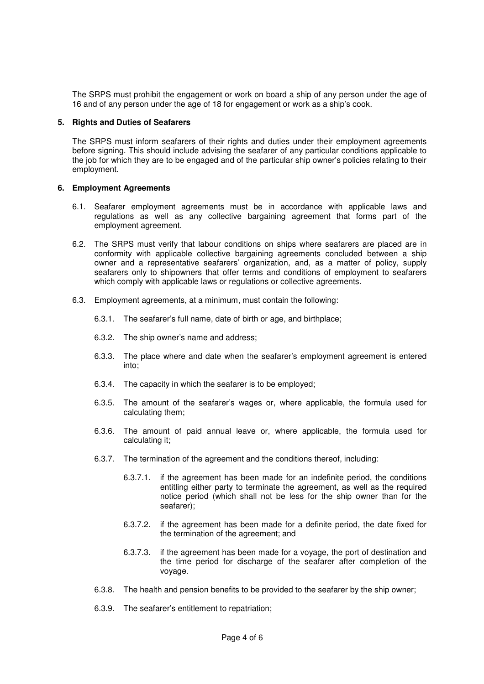The SRPS must prohibit the engagement or work on board a ship of any person under the age of 16 and of any person under the age of 18 for engagement or work as a ship's cook.

#### **5. Rights and Duties of Seafarers**

The SRPS must inform seafarers of their rights and duties under their employment agreements before signing. This should include advising the seafarer of any particular conditions applicable to the job for which they are to be engaged and of the particular ship owner's policies relating to their employment.

## **6. Employment Agreements**

- 6.1. Seafarer employment agreements must be in accordance with applicable laws and regulations as well as any collective bargaining agreement that forms part of the employment agreement.
- 6.2. The SRPS must verify that labour conditions on ships where seafarers are placed are in conformity with applicable collective bargaining agreements concluded between a ship owner and a representative seafarers' organization, and, as a matter of policy, supply seafarers only to shipowners that offer terms and conditions of employment to seafarers which comply with applicable laws or regulations or collective agreements.
- 6.3. Employment agreements, at a minimum, must contain the following:
	- 6.3.1. The seafarer's full name, date of birth or age, and birthplace;
	- 6.3.2. The ship owner's name and address;
	- 6.3.3. The place where and date when the seafarer's employment agreement is entered into;
	- 6.3.4. The capacity in which the seafarer is to be employed;
	- 6.3.5. The amount of the seafarer's wages or, where applicable, the formula used for calculating them;
	- 6.3.6. The amount of paid annual leave or, where applicable, the formula used for calculating it;
	- 6.3.7. The termination of the agreement and the conditions thereof, including:
		- 6.3.7.1. if the agreement has been made for an indefinite period, the conditions entitling either party to terminate the agreement, as well as the required notice period (which shall not be less for the ship owner than for the seafarer);
		- 6.3.7.2. if the agreement has been made for a definite period, the date fixed for the termination of the agreement; and
		- 6.3.7.3. if the agreement has been made for a voyage, the port of destination and the time period for discharge of the seafarer after completion of the voyage.
	- 6.3.8. The health and pension benefits to be provided to the seafarer by the ship owner;
	- 6.3.9. The seafarer's entitlement to repatriation;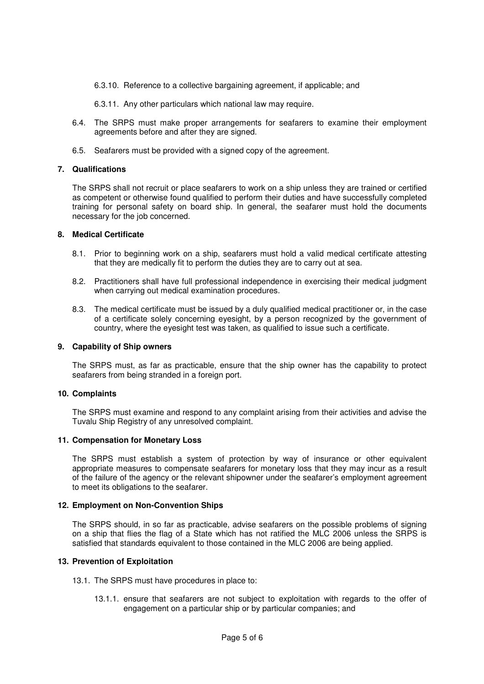- 6.3.10. Reference to a collective bargaining agreement, if applicable; and
- 6.3.11. Any other particulars which national law may require.
- 6.4. The SRPS must make proper arrangements for seafarers to examine their employment agreements before and after they are signed.
- 6.5. Seafarers must be provided with a signed copy of the agreement.

## **7. Qualifications**

The SRPS shall not recruit or place seafarers to work on a ship unless they are trained or certified as competent or otherwise found qualified to perform their duties and have successfully completed training for personal safety on board ship. In general, the seafarer must hold the documents necessary for the job concerned.

#### **8. Medical Certificate**

- 8.1. Prior to beginning work on a ship, seafarers must hold a valid medical certificate attesting that they are medically fit to perform the duties they are to carry out at sea.
- 8.2. Practitioners shall have full professional independence in exercising their medical judgment when carrying out medical examination procedures.
- 8.3. The medical certificate must be issued by a duly qualified medical practitioner or, in the case of a certificate solely concerning eyesight, by a person recognized by the government of country, where the eyesight test was taken, as qualified to issue such a certificate.

#### **9. Capability of Ship owners**

The SRPS must, as far as practicable, ensure that the ship owner has the capability to protect seafarers from being stranded in a foreign port.

#### **10. Complaints**

The SRPS must examine and respond to any complaint arising from their activities and advise the Tuvalu Ship Registry of any unresolved complaint.

#### **11. Compensation for Monetary Loss**

The SRPS must establish a system of protection by way of insurance or other equivalent appropriate measures to compensate seafarers for monetary loss that they may incur as a result of the failure of the agency or the relevant shipowner under the seafarer's employment agreement to meet its obligations to the seafarer.

#### **12. Employment on Non-Convention Ships**

The SRPS should, in so far as practicable, advise seafarers on the possible problems of signing on a ship that flies the flag of a State which has not ratified the MLC 2006 unless the SRPS is satisfied that standards equivalent to those contained in the MLC 2006 are being applied.

#### **13. Prevention of Exploitation**

- 13.1. The SRPS must have procedures in place to:
	- 13.1.1. ensure that seafarers are not subject to exploitation with regards to the offer of engagement on a particular ship or by particular companies; and